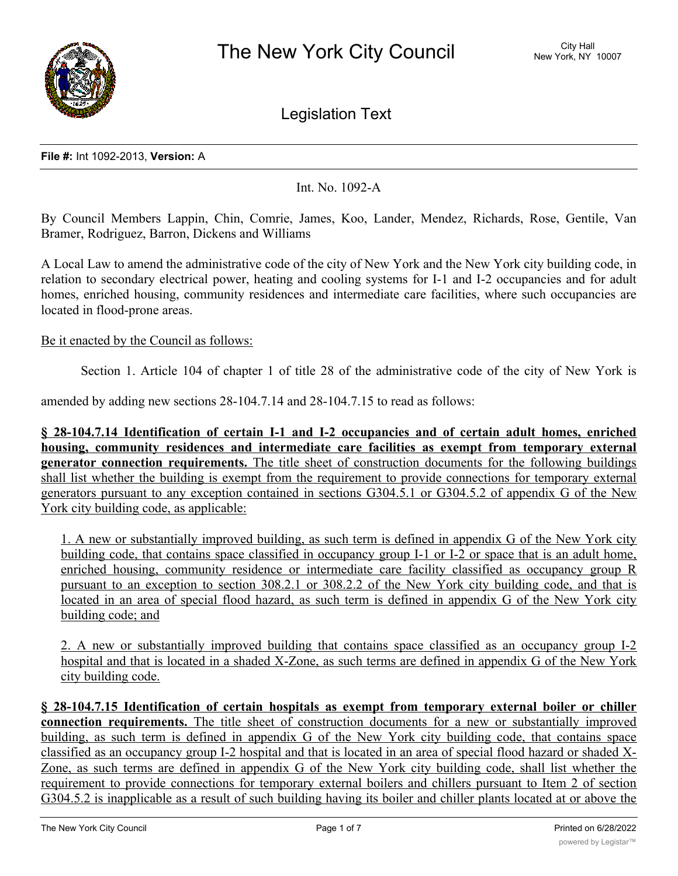

Legislation Text

#### **File #:** Int 1092-2013, **Version:** A

Int. No. 1092-A

By Council Members Lappin, Chin, Comrie, James, Koo, Lander, Mendez, Richards, Rose, Gentile, Van Bramer, Rodriguez, Barron, Dickens and Williams

A Local Law to amend the administrative code of the city of New York and the New York city building code, in relation to secondary electrical power, heating and cooling systems for I-1 and I-2 occupancies and for adult homes, enriched housing, community residences and intermediate care facilities, where such occupancies are located in flood-prone areas.

### Be it enacted by the Council as follows:

Section 1. Article 104 of chapter 1 of title 28 of the administrative code of the city of New York is

amended by adding new sections 28-104.7.14 and 28-104.7.15 to read as follows:

**§ 28-104.7.14 Identification of certain I-1 and I-2 occupancies and of certain adult homes, enriched housing, community residences and intermediate care facilities as exempt from temporary external generator connection requirements.** The title sheet of construction documents for the following buildings shall list whether the building is exempt from the requirement to provide connections for temporary external generators pursuant to any exception contained in sections G304.5.1 or G304.5.2 of appendix G of the New York city building code, as applicable:

1. A new or substantially improved building, as such term is defined in appendix G of the New York city building code, that contains space classified in occupancy group I-1 or I-2 or space that is an adult home, enriched housing, community residence or intermediate care facility classified as occupancy group R pursuant to an exception to section 308.2.1 or 308.2.2 of the New York city building code, and that is located in an area of special flood hazard, as such term is defined in appendix G of the New York city building code; and

2. A new or substantially improved building that contains space classified as an occupancy group I-2 hospital and that is located in a shaded X-Zone, as such terms are defined in appendix G of the New York city building code.

**§ 28-104.7.15 Identification of certain hospitals as exempt from temporary external boiler or chiller connection requirements.** The title sheet of construction documents for a new or substantially improved building, as such term is defined in appendix G of the New York city building code, that contains space classified as an occupancy group I-2 hospital and that is located in an area of special flood hazard or shaded X-Zone, as such terms are defined in appendix G of the New York city building code, shall list whether the requirement to provide connections for temporary external boilers and chillers pursuant to Item 2 of section G304.5.2 is inapplicable as a result of such building having its boiler and chiller plants located at or above the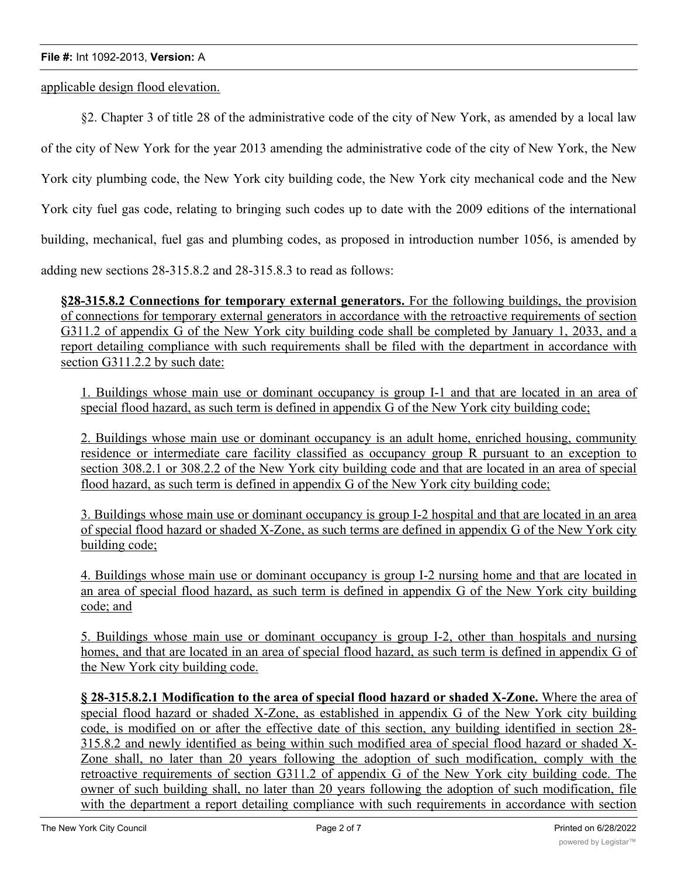#### **File #:** Int 1092-2013, **Version:** A

applicable design flood elevation.

§2. Chapter 3 of title 28 of the administrative code of the city of New York, as amended by a local law of the city of New York for the year 2013 amending the administrative code of the city of New York, the New York city plumbing code, the New York city building code, the New York city mechanical code and the New York city fuel gas code, relating to bringing such codes up to date with the 2009 editions of the international building, mechanical, fuel gas and plumbing codes, as proposed in introduction number 1056, is amended by adding new sections 28-315.8.2 and 28-315.8.3 to read as follows:

**§28-315.8.2 Connections for temporary external generators.** For the following buildings, the provision of connections for temporary external generators in accordance with the retroactive requirements of section G311.2 of appendix G of the New York city building code shall be completed by January 1, 2033, and a report detailing compliance with such requirements shall be filed with the department in accordance with section G311.2.2 by such date:

1. Buildings whose main use or dominant occupancy is group I-1 and that are located in an area of special flood hazard, as such term is defined in appendix G of the New York city building code;

2. Buildings whose main use or dominant occupancy is an adult home, enriched housing, community residence or intermediate care facility classified as occupancy group R pursuant to an exception to section 308.2.1 or 308.2.2 of the New York city building code and that are located in an area of special flood hazard, as such term is defined in appendix G of the New York city building code;

3. Buildings whose main use or dominant occupancy is group I-2 hospital and that are located in an area of special flood hazard or shaded X-Zone, as such terms are defined in appendix G of the New York city building code;

4. Buildings whose main use or dominant occupancy is group I-2 nursing home and that are located in an area of special flood hazard, as such term is defined in appendix G of the New York city building code; and

5. Buildings whose main use or dominant occupancy is group I-2, other than hospitals and nursing homes, and that are located in an area of special flood hazard, as such term is defined in appendix G of the New York city building code.

**§ 28-315.8.2.1 Modification to the area of special flood hazard or shaded X-Zone.** Where the area of special flood hazard or shaded X-Zone, as established in appendix G of the New York city building code, is modified on or after the effective date of this section, any building identified in section 28- 315.8.2 and newly identified as being within such modified area of special flood hazard or shaded X-Zone shall, no later than 20 years following the adoption of such modification, comply with the retroactive requirements of section G311.2 of appendix G of the New York city building code. The owner of such building shall, no later than 20 years following the adoption of such modification, file with the department a report detailing compliance with such requirements in accordance with section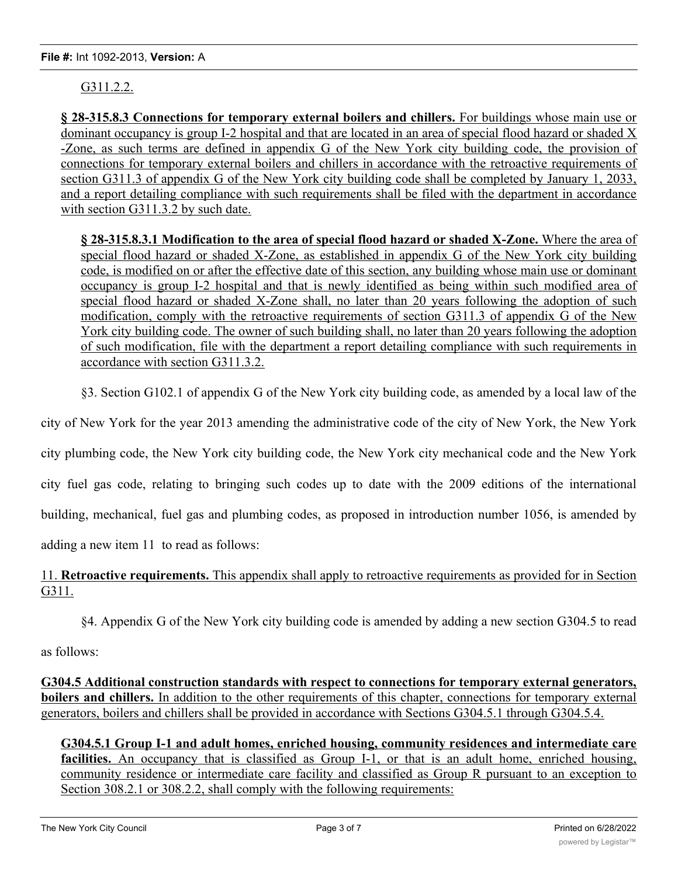# G311.2.2.

**§ 28-315.8.3 Connections for temporary external boilers and chillers.** For buildings whose main use or dominant occupancy is group I-2 hospital and that are located in an area of special flood hazard or shaded X -Zone, as such terms are defined in appendix G of the New York city building code, the provision of connections for temporary external boilers and chillers in accordance with the retroactive requirements of section G311.3 of appendix G of the New York city building code shall be completed by January 1, 2033, and a report detailing compliance with such requirements shall be filed with the department in accordance with section G311.3.2 by such date.

**§ 28-315.8.3.1 Modification to the area of special flood hazard or shaded X-Zone.** Where the area of special flood hazard or shaded X-Zone, as established in appendix G of the New York city building code, is modified on or after the effective date of this section, any building whose main use or dominant occupancy is group I-2 hospital and that is newly identified as being within such modified area of special flood hazard or shaded X-Zone shall, no later than 20 years following the adoption of such modification, comply with the retroactive requirements of section G311.3 of appendix G of the New York city building code. The owner of such building shall, no later than 20 years following the adoption of such modification, file with the department a report detailing compliance with such requirements in accordance with section G311.3.2.

§3. Section G102.1 of appendix G of the New York city building code, as amended by a local law of the

city of New York for the year 2013 amending the administrative code of the city of New York, the New York

city plumbing code, the New York city building code, the New York city mechanical code and the New York

city fuel gas code, relating to bringing such codes up to date with the 2009 editions of the international

building, mechanical, fuel gas and plumbing codes, as proposed in introduction number 1056, is amended by

adding a new item 11 to read as follows:

11. **Retroactive requirements.** This appendix shall apply to retroactive requirements as provided for in Section G311.

§4. Appendix G of the New York city building code is amended by adding a new section G304.5 to read

as follows:

**G304.5 Additional construction standards with respect to connections for temporary external generators, boilers and chillers.** In addition to the other requirements of this chapter, connections for temporary external generators, boilers and chillers shall be provided in accordance with Sections G304.5.1 through G304.5.4.

**G304.5.1 Group I-1 and adult homes, enriched housing, community residences and intermediate care** facilities. An occupancy that is classified as Group I-1, or that is an adult home, enriched housing, community residence or intermediate care facility and classified as Group R pursuant to an exception to Section 308.2.1 or 308.2.2, shall comply with the following requirements: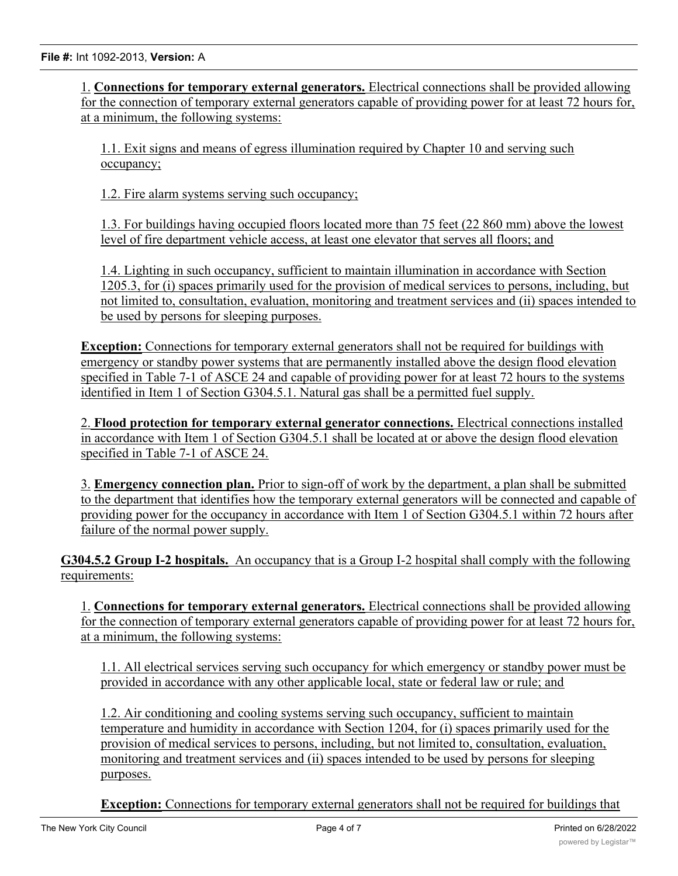1. **Connections for temporary external generators.** Electrical connections shall be provided allowing for the connection of temporary external generators capable of providing power for at least 72 hours for, at a minimum, the following systems:

1.1. Exit signs and means of egress illumination required by Chapter 10 and serving such occupancy;

1.2. Fire alarm systems serving such occupancy;

1.3. For buildings having occupied floors located more than 75 feet (22 860 mm) above the lowest level of fire department vehicle access, at least one elevator that serves all floors; and

1.4. Lighting in such occupancy, sufficient to maintain illumination in accordance with Section 1205.3, for (i) spaces primarily used for the provision of medical services to persons, including, but not limited to, consultation, evaluation, monitoring and treatment services and (ii) spaces intended to be used by persons for sleeping purposes.

**Exception:** Connections for temporary external generators shall not be required for buildings with emergency or standby power systems that are permanently installed above the design flood elevation specified in Table 7-1 of ASCE 24 and capable of providing power for at least 72 hours to the systems identified in Item 1 of Section G304.5.1. Natural gas shall be a permitted fuel supply.

2. **Flood protection for temporary external generator connections.** Electrical connections installed in accordance with Item 1 of Section G304.5.1 shall be located at or above the design flood elevation specified in Table 7-1 of ASCE 24.

3. **Emergency connection plan.** Prior to sign-off of work by the department, a plan shall be submitted to the department that identifies how the temporary external generators will be connected and capable of providing power for the occupancy in accordance with Item 1 of Section G304.5.1 within 72 hours after failure of the normal power supply.

**G304.5.2 Group I-2 hospitals.** An occupancy that is a Group I-2 hospital shall comply with the following requirements:

1. **Connections for temporary external generators.** Electrical connections shall be provided allowing for the connection of temporary external generators capable of providing power for at least 72 hours for, at a minimum, the following systems:

1.1. All electrical services serving such occupancy for which emergency or standby power must be provided in accordance with any other applicable local, state or federal law or rule; and

1.2. Air conditioning and cooling systems serving such occupancy, sufficient to maintain temperature and humidity in accordance with Section 1204, for (i) spaces primarily used for the provision of medical services to persons, including, but not limited to, consultation, evaluation, monitoring and treatment services and (ii) spaces intended to be used by persons for sleeping purposes.

**Exception:** Connections for temporary external generators shall not be required for buildings that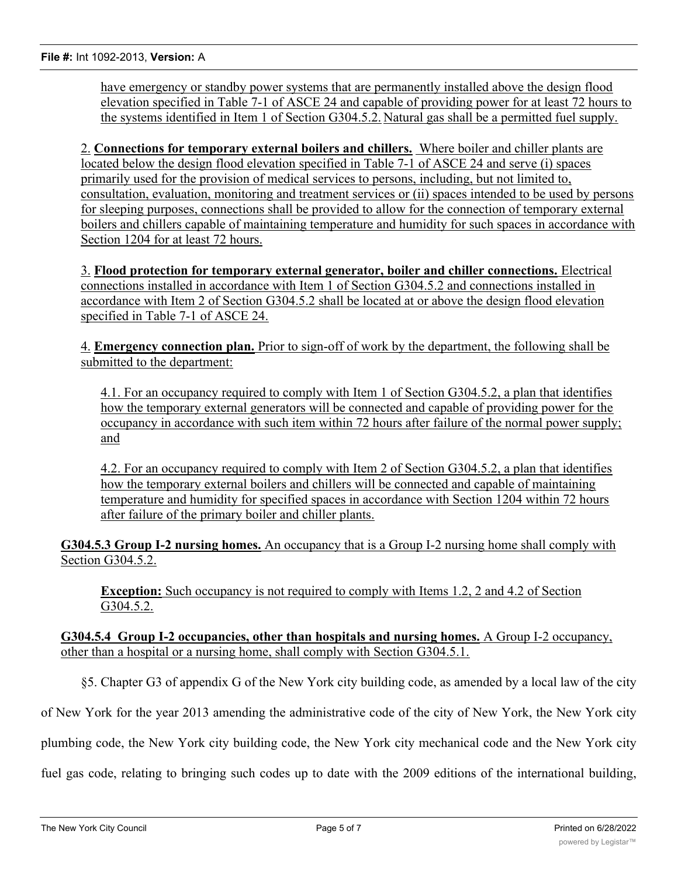have emergency or standby power systems that are permanently installed above the design flood elevation specified in Table 7-1 of ASCE 24 and capable of providing power for at least 72 hours to the systems identified in Item 1 of Section G304.5.2. Natural gas shall be a permitted fuel supply.

2. **Connections for temporary external boilers and chillers.** Where boiler and chiller plants are located below the design flood elevation specified in Table 7-1 of ASCE 24 and serve (i) spaces primarily used for the provision of medical services to persons, including, but not limited to, consultation, evaluation, monitoring and treatment services or (ii) spaces intended to be used by persons for sleeping purposes, connections shall be provided to allow for the connection of temporary external boilers and chillers capable of maintaining temperature and humidity for such spaces in accordance with Section 1204 for at least 72 hours.

3. **Flood protection for temporary external generator, boiler and chiller connections.** Electrical connections installed in accordance with Item 1 of Section G304.5.2 and connections installed in accordance with Item 2 of Section G304.5.2 shall be located at or above the design flood elevation specified in Table 7-1 of ASCE 24.

4. **Emergency connection plan.** Prior to sign-off of work by the department, the following shall be submitted to the department:

4.1. For an occupancy required to comply with Item 1 of Section G304.5.2, a plan that identifies how the temporary external generators will be connected and capable of providing power for the occupancy in accordance with such item within 72 hours after failure of the normal power supply; and

4.2. For an occupancy required to comply with Item 2 of Section G304.5.2, a plan that identifies how the temporary external boilers and chillers will be connected and capable of maintaining temperature and humidity for specified spaces in accordance with Section 1204 within 72 hours after failure of the primary boiler and chiller plants.

**G304.5.3 Group I-2 nursing homes.** An occupancy that is a Group I-2 nursing home shall comply with Section G304.5.2.

**Exception:** Such occupancy is not required to comply with Items 1.2, 2 and 4.2 of Section G304.5.2.

**G304.5.4 Group I-2 occupancies, other than hospitals and nursing homes.** A Group I-2 occupancy, other than a hospital or a nursing home, shall comply with Section G304.5.1.

§5. Chapter G3 of appendix G of the New York city building code, as amended by a local law of the city

of New York for the year 2013 amending the administrative code of the city of New York, the New York city

plumbing code, the New York city building code, the New York city mechanical code and the New York city

fuel gas code, relating to bringing such codes up to date with the 2009 editions of the international building,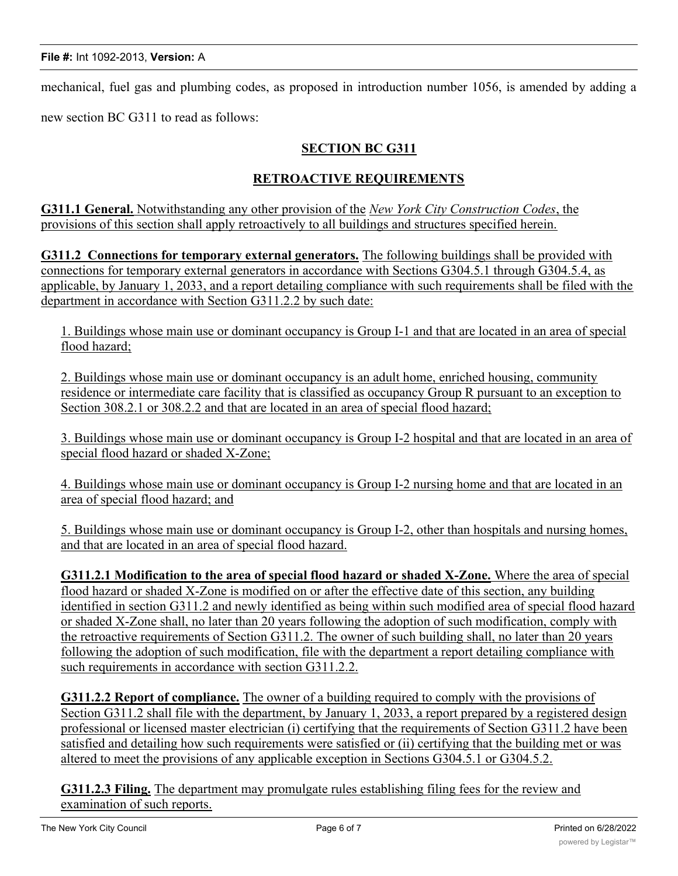mechanical, fuel gas and plumbing codes, as proposed in introduction number 1056, is amended by adding a

new section BC G311 to read as follows:

## **SECTION BC G311**

### **RETROACTIVE REQUIREMENTS**

**G311.1 General.** Notwithstanding any other provision of the *New York City Construction Codes*, the provisions of this section shall apply retroactively to all buildings and structures specified herein.

**G311.2 Connections for temporary external generators.** The following buildings shall be provided with connections for temporary external generators in accordance with Sections G304.5.1 through G304.5.4, as applicable, by January 1, 2033, and a report detailing compliance with such requirements shall be filed with the department in accordance with Section G311.2.2 by such date:

1. Buildings whose main use or dominant occupancy is Group I-1 and that are located in an area of special flood hazard;

2. Buildings whose main use or dominant occupancy is an adult home, enriched housing, community residence or intermediate care facility that is classified as occupancy Group R pursuant to an exception to Section 308.2.1 or 308.2.2 and that are located in an area of special flood hazard;

3. Buildings whose main use or dominant occupancy is Group I-2 hospital and that are located in an area of special flood hazard or shaded X-Zone;

4. Buildings whose main use or dominant occupancy is Group I-2 nursing home and that are located in an area of special flood hazard; and

5. Buildings whose main use or dominant occupancy is Group I-2, other than hospitals and nursing homes, and that are located in an area of special flood hazard.

**G311.2.1 Modification to the area of special flood hazard or shaded X-Zone.** Where the area of special flood hazard or shaded X-Zone is modified on or after the effective date of this section, any building identified in section G311.2 and newly identified as being within such modified area of special flood hazard or shaded X-Zone shall, no later than 20 years following the adoption of such modification, comply with the retroactive requirements of Section G311.2. The owner of such building shall, no later than 20 years following the adoption of such modification, file with the department a report detailing compliance with such requirements in accordance with section G311.2.2.

**G311.2.2 Report of compliance.** The owner of a building required to comply with the provisions of Section G311.2 shall file with the department, by January 1, 2033, a report prepared by a registered design professional or licensed master electrician (i) certifying that the requirements of Section G311.2 have been satisfied and detailing how such requirements were satisfied or (ii) certifying that the building met or was altered to meet the provisions of any applicable exception in Sections G304.5.1 or G304.5.2.

**G311.2.3 Filing.** The department may promulgate rules establishing filing fees for the review and examination of such reports.